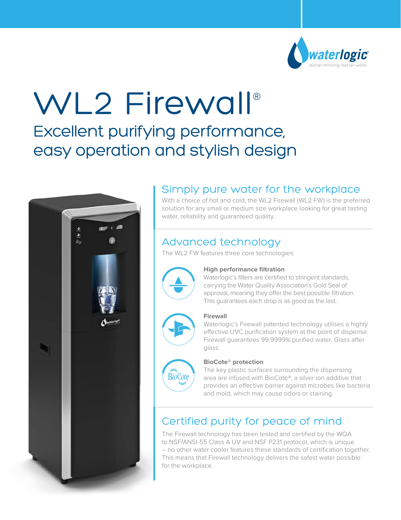

# WL2 Firewall®

## Excellent purifying performance, easy operation and stylish design



## Simply pure water for the workplace

With a choice of hot and cold, the WL2 Firewall (WL2 FW) is the preferred solution for any small or medium size workplace looking for great tasting water, reliability and guaranteed quality.

## Advanced technology

The WL2 FW features three core technologies:



#### **High performance filtration**

Waterlogic's filters are certified to stringent standards, carrying the Water Quality Association's Gold Seal of approval, meaning they offer the best possible filtration. This guarantees each drop is as good as the last.



#### **Firewall**

Waterlogic's Firewall patented technology utilises a highly effective UVC purification system at the point of dispense. Firewall guarantees 99.9999% purified water. Glass after glass.



#### **BioCote® protection**

The key plastic surfaces surrounding the dispensing area are infused with BioCote®, a silver ion additive that provides an effective barrier against microbes like bacteria and mold, which may cause odors or staining.

## Certified purity for peace of mind

The Firewall technology has been tested and certified by the WQA to NSF/ANSI-55 Class A UV and NSF P231 protocol, which is unique – no other water cooler features these standards of certification together. This means that Firewall technology delivers the safest water possible for the workplace.